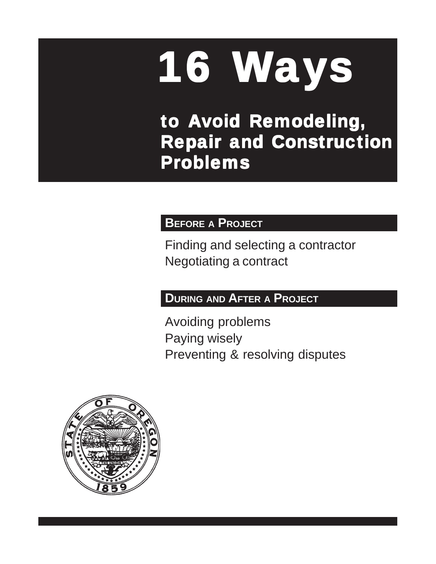# 16 Ways

to Avoid Remodeling, **Repair and Construction** Problems

# **BEFORE A PROJECT**

Finding and selecting a contractor Negotiating a contract

# **DURING AND AFTER A PROJECT**

Avoiding problems Paying wisely Preventing & resolving disputes

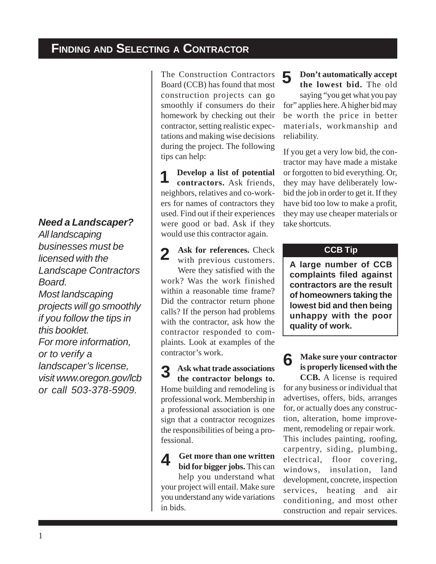# *Need a Landscaper?*

*All landscaping businesses must be licensed with the Landscape Contractors Board. Most landscaping projects will go smoothly if you follow the tips in this booklet. For more information, or to verify a landscaper's license, visit www.oregon.gov/lcb or call 503-378-5909.*

The Construction Contractors Board (CCB) has found that most construction projects can go smoothly if consumers do their homework by checking out their contractor, setting realistic expectations and making wise decisions during the project. The following tips can help:

**Develop a list of potential contractors.** Ask friends, neighbors, relatives and co-workers for names of contractors they used. Find out if their experiences were good or bad. Ask if they would use this contractor again. 1

**Ask for references.** Check with previous customers. Were they satisfied with the work? Was the work finished within a reasonable time frame? Did the contractor return phone calls? If the person had problems with the contractor, ask how the contractor responded to complaints. Look at examples of the contractor's work. 2

**Ask what trade associations the contractor belongs to.** Home building and remodeling is professional work. Membership in a professional association is one sign that a contractor recognizes the responsibilities of being a professional. 3

**Get more than one written bid for bigger jobs.** This can help you understand what your project will entail. Make sure you understand any wide variations in bids.  $\varDelta$ 

#### **Don't automatically accept the lowest bid.** The old 5

saying "you get what you pay for" applies here. A higher bid may be worth the price in better materials, workmanship and reliability.

If you get a very low bid, the contractor may have made a mistake or forgotten to bid everything. Or, they may have deliberately lowbid the job in order to get it. If they have bid too low to make a profit, they may use cheaper materials or take shortcuts.

#### **CCB Tip**

**A large number of CCB complaints filed against contractors are the result of homeowners taking the lowest bid and then being unhappy with the poor quality of work.**

#### **Make sure your contractor is properly licensed with the** 6

**CCB.** A license is required for any business or individual that advertises, offers, bids, arranges for, or actually does any construction, alteration, home improvement, remodeling or repair work. This includes painting, roofing, carpentry, siding, plumbing, electrical, floor covering, windows, insulation, land development, concrete, inspection services, heating and air conditioning, and most other construction and repair services.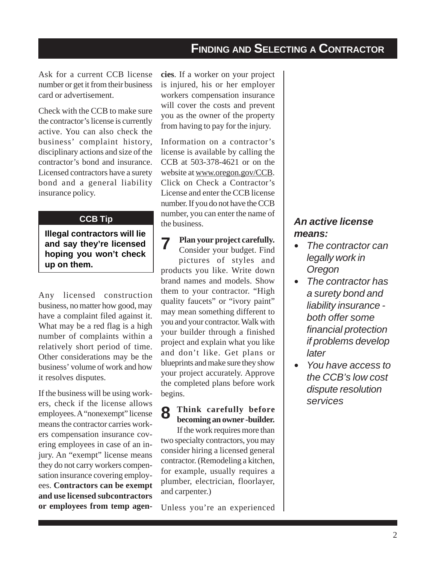# **FINDING AND SELECTING A CONTRACTOR**

Ask for a current CCB license number or get it from their business card or advertisement.

Check with the CCB to make sure the contractor's license is currently active. You can also check the business' complaint history, disciplinary actions and size of the contractor's bond and insurance. Licensed contractors have a surety bond and a general liability insurance policy.

#### **CCB Tip**

**Illegal contractors will lie and say they're licensed hoping you won't check up on them.**

Any licensed construction business, no matter how good, may have a complaint filed against it. What may be a red flag is a high number of complaints within a relatively short period of time. Other considerations may be the business' volume of work and how it resolves disputes.

If the business will be using workers, check if the license allows employees. A "nonexempt" license means the contractor carries workers compensation insurance covering employees in case of an injury. An "exempt" license means they do not carry workers compensation insurance covering employees. **Contractors can be exempt and use licensed subcontractors or employees from temp agen-** **cies**. If a worker on your project is injured, his or her employer workers compensation insurance will cover the costs and prevent you as the owner of the property from having to pay for the injury.

Information on a contractor's license is available by calling the CCB at 503-378-4621 or on the website at www.oregon.gov/CCB. Click on Check a Contractor's License and enter the CCB license number. If you do not have the CCB number, you can enter the name of the business.

#### **Plan your project carefully.** 7

Consider your budget. Find pictures of styles and products you like. Write down brand names and models. Show them to your contractor. "High quality faucets" or "ivory paint" may mean something different to you and your contractor. Walk with your builder through a finished project and explain what you like and don't like. Get plans or blueprints and make sure they show your project accurately. Approve the completed plans before work begins.

#### **Think carefully before becoming an owner -builder.** 8

If the work requires more than two specialty contractors, you may consider hiring a licensed general contractor. (Remodeling a kitchen, for example, usually requires a plumber, electrician, floorlayer, and carpenter.)

Unless you're an experienced

## *An active license means:*

- *The contractor can legally work in Oregon*
- *The contractor has a surety bond and liability insurance both offer some financial protection if problems develop later*
- y *You have access to the CCB's low cost dispute resolution services*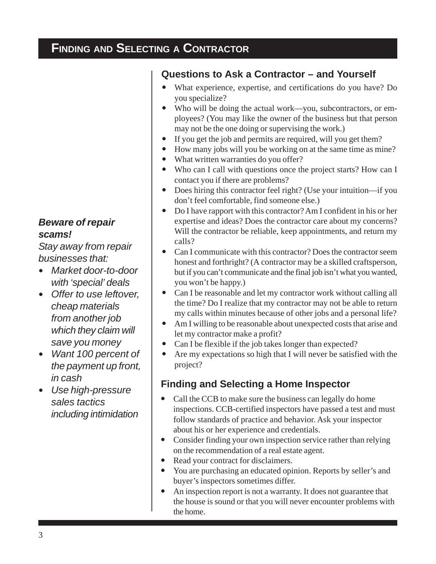# **FINDING AND SELECTING A CONTRACTOR**

# **Questions to Ask a Contractor – and Yourself**

- What experience, expertise, and certifications do you have? Do you specialize?
- Who will be doing the actual work—you, subcontractors, or employees? (You may like the owner of the business but that person may not be the one doing or supervising the work.)
- If you get the job and permits are required, will you get them?
- How many jobs will you be working on at the same time as mine?
- What written warranties do you offer?
- Who can I call with questions once the project starts? How can I contact you if there are problems?
- Does hiring this contractor feel right? (Use your intuition—if you don't feel comfortable, find someone else.)
- Do I have rapport with this contractor? Am I confident in his or her expertise and ideas? Does the contractor care about my concerns? Will the contractor be reliable, keep appointments, and return my calls?
- Can I communicate with this contractor? Does the contractor seem honest and forthright? (A contractor may be a skilled craftsperson, but if you can't communicate and the final job isn't what you wanted, you won't be happy.)
- Can I be reasonable and let my contractor work without calling all the time? Do I realize that my contractor may not be able to return my calls within minutes because of other jobs and a personal life?
- Am I willing to be reasonable about unexpected costs that arise and let my contractor make a profit?
- Can I be flexible if the job takes longer than expected?
- Are my expectations so high that I will never be satisfied with the project?

# **Finding and Selecting a Home Inspector**

- Call the CCB to make sure the business can legally do home inspections. CCB-certified inspectors have passed a test and must follow standards of practice and behavior. Ask your inspector about his or her experience and credentials.
- Consider finding your own inspection service rather than relying on the recommendation of a real estate agent.
- Read your contract for disclaimers.
- You are purchasing an educated opinion. Reports by seller's and buyer's inspectors sometimes differ.
- An inspection report is not a warranty. It does not guarantee that the house is sound or that you will never encounter problems with the home.

## *Beware of repair scams!*

*Stay away from repair businesses that:*

- Market door-to-door *with 'special' deals*
- Offer to use leftover, *cheap materials from another job which they claim will save you money*
- y *Want 100 percent of the payment up front, in cash*
- y *Use high-pressure sales tactics including intimidation*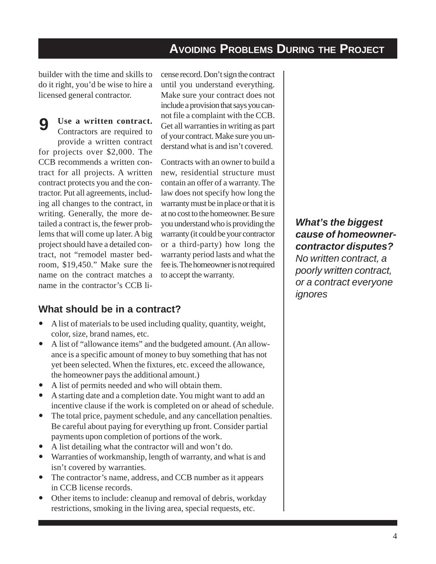# **AVOIDING PROBLEMS DURING THE PROJECT**

builder with the time and skills to do it right, you'd be wise to hire a licensed general contractor.

#### **Use a written contract.**

 $\mathbf Q$ 

Contractors are required to provide a written contract for projects over \$2,000. The CCB recommends a written contract for all projects. A written contract protects you and the contractor. Put all agreements, including all changes to the contract, in writing. Generally, the more detailed a contract is, the fewer problems that will come up later. A big project should have a detailed contract, not "remodel master bedroom, \$19,450." Make sure the name on the contract matches a name in the contractor's CCB license record. Don't sign the contract until you understand everything. Make sure your contract does not include a provision that says you cannot file a complaint with the CCB. Get all warranties in writing as part of your contract. Make sure you understand what is and isn't covered.

Contracts with an owner to build a new, residential structure must contain an offer of a warranty. The law does not specify how long the warranty must be in place or that it is at no cost to the homeowner. Be sure you understand who is providing the warranty (it could be your contractor or a third-party) how long the warranty period lasts and what the fee is. The homeowner is not required to accept the warranty.

#### **What should be in a contract?**

- A list of materials to be used including quality, quantity, weight, color, size, brand names, etc.
- A list of "allowance items" and the budgeted amount. (An allowance is a specific amount of money to buy something that has not yet been selected. When the fixtures, etc. exceed the allowance, the homeowner pays the additional amount.)
- A list of permits needed and who will obtain them.
- A starting date and a completion date. You might want to add an incentive clause if the work is completed on or ahead of schedule.
- The total price, payment schedule, and any cancellation penalties. Be careful about paying for everything up front. Consider partial payments upon completion of portions of the work.
- A list detailing what the contractor will and won't do.
- Warranties of workmanship, length of warranty, and what is and isn't covered by warranties.
- The contractor's name, address, and CCB number as it appears in CCB license records.
- Other items to include: cleanup and removal of debris, workday restrictions, smoking in the living area, special requests, etc.

*What's the biggest cause of homeownercontractor disputes? No written contract, a poorly written contract, or a contract everyone*

*ignores*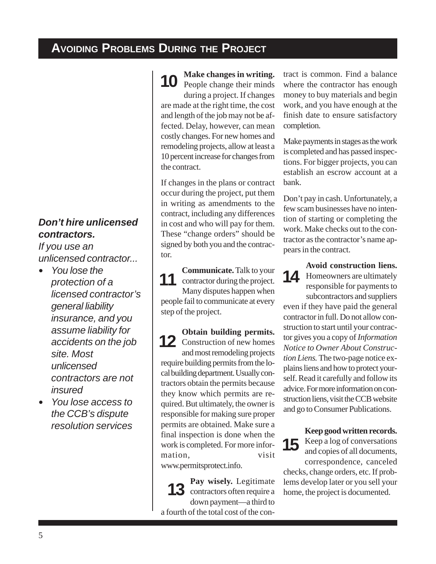# **AVOIDING PROBLEMS DURING THE PROJECT**

#### *Don't hire unlicensed contractors.*

*If you use an unlicensed contractor...*

- *You lose the protection of a licensed contractor's general liability insurance, and you assume liability for accidents on the job site. Most unlicensed contractors are not insured*
- y *You lose access to the CCB's dispute resolution services*

**Make changes in writing.** 10 People changes in writing. during a project. If changes

are made at the right time, the cost and length of the job may not be affected. Delay, however, can mean costly changes. For new homes and remodeling projects, allow at least a 10 percent increase for changes from the contract.

If changes in the plans or contract occur during the project, put them in writing as amendments to the contract, including any differences in cost and who will pay for them. These "change orders" should be signed by both you and the contractor.

**Communicate.** Talk to your contractor during the project. Many disputes happen when people fail to communicate at every step of the project. 11

**Obtain building permits.** 12 Construction of new homes and most remodeling projects require building permits from the local building department. Usually contractors obtain the permits because they know which permits are required. But ultimately, the owner is responsible for making sure proper permits are obtained. Make sure a final inspection is done when the work is completed. For more information, visit www.permitsprotect.info.

**Pay wisely.** Legitimate 13 contractors often require a down payment—a third to a fourth of the total cost of the contract is common. Find a balance where the contractor has enough money to buy materials and begin work, and you have enough at the finish date to ensure satisfactory completion.

Make payments in stages as the work is completed and has passed inspections. For bigger projects, you can establish an escrow account at a bank.

Don't pay in cash. Unfortunately, a few scam businesses have no intention of starting or completing the work. Make checks out to the contractor as the contractor's name appears in the contract.

**Avoid construction liens.** Homeowners are ultimately responsible for payments to subcontractors and suppliers 14

even if they have paid the general contractor in full. Do not allow construction to start until your contractor gives you a copy of *Information Notice to Owner About Construction Liens.* The two-page notice explains liens and how to protect yourself. Read it carefully and follow its advice. For more information on construction liens, visit the CCB website and go to Consumer Publications.

**Keep good written records.** 15 Keep a log of conversations<br>and copies of all documents. and copies of all documents, correspondence, canceled checks, change orders, etc. If problems develop later or you sell your home, the project is documented.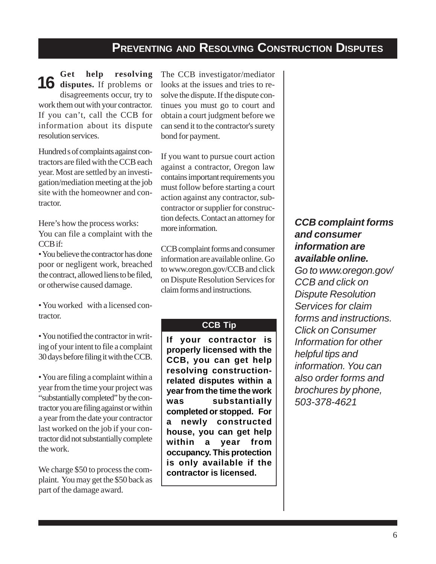# **PREVENTING AND RESOLVING CONSTRUCTION DISPUTES**

**Get help resolving** 16 disputes. If problems or disagreements occur, try to work them out with your contractor. If you can't, call the CCB for information about its dispute resolution services.

Hundred s of complaints against contractors are filed with the CCB each year. Most are settled by an investigation/mediation meeting at the job site with the homeowner and contractor.

Here's how the process works: You can file a complaint with the CCB if:

• You believe the contractor has done poor or negligent work, breached the contract, allowed liens to be filed, or otherwise caused damage.

• You worked with a licensed contractor.

• You notified the contractor in writing of your intent to file a complaint 30 days before filing it with the CCB.

• You are filing a complaint within a year from the time your project was "substantially completed" by the contractor you are filing against or within a year from the date your contractor last worked on the job if your contractor did not substantially complete the work.

We charge \$50 to process the complaint. You may get the \$50 back as part of the damage award.

The CCB investigator/mediator looks at the issues and tries to resolve the dispute. If the dispute continues you must go to court and obtain a court judgment before we can send it to the contractor's surety bond for payment.

If you want to pursue court action against a contractor, Oregon law contains important requirements you must follow before starting a court action against any contractor, subcontractor or supplier for construction defects. Contact an attorney for more information.

CCB complaint forms and consumer information are available online. Go to www.oregon.gov/CCB and click on Dispute Resolution Services for claim forms and instructions.

#### **CCB Tip**

**If your contractor is properly licensed with the CCB, you can get help resolving constructionrelated disputes within a year from the time the work was substantially completed or stopped. For a newly constructed house, you can get help within a year from occupancy. This protection is only available if the contractor is licensed.**

#### *CCB complaint forms and consumer information are available online.*

*Go to www.oregon.gov/ CCB and click on Dispute Resolution Services for claim forms and instructions. Click on Consumer Information for other helpful tips and information. You can also order forms and brochures by phone, 503-378-4621*